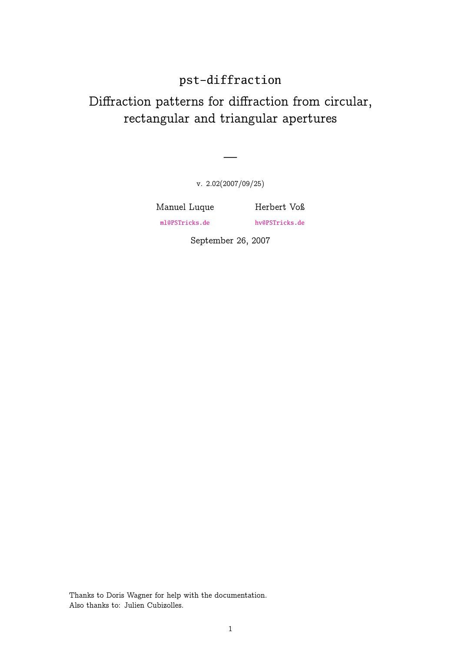# pst-diffraction

# Diffraction patterns for diffraction from circular, rectangular and triangular apertures

v. 2.02(2007/09/25)

—

Manuel Luque ml@PSTricks.de

Herbert Voß hv@PSTricks.de

September 26, 2007

Thanks to Doris Wagner for help with the documentation. Also thanks to: Julien Cubizolles.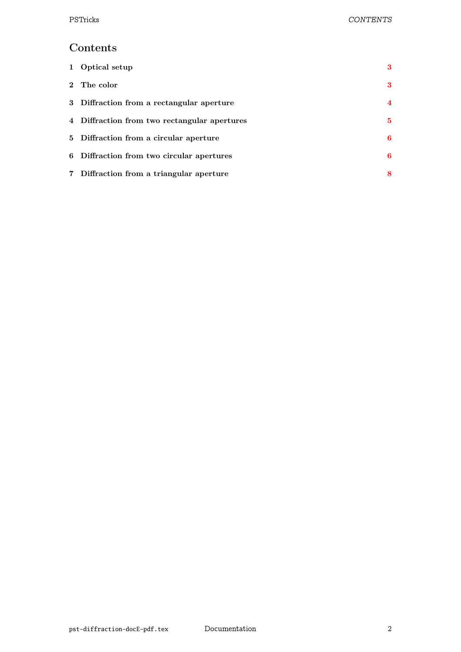# Contents

| 1 Optical setup                              | 3        |
|----------------------------------------------|----------|
| 2 The color                                  | 3        |
| 3 Diffraction from a rectangular aperture    | 4        |
| 4 Diffraction from two rectangular apertures | $\bf{5}$ |
| 5 Diffraction from a circular aperture       | 6        |
| 6 Diffraction from two circular apertures    | 6        |
| 7 Diffraction from a triangular aperture     | 8        |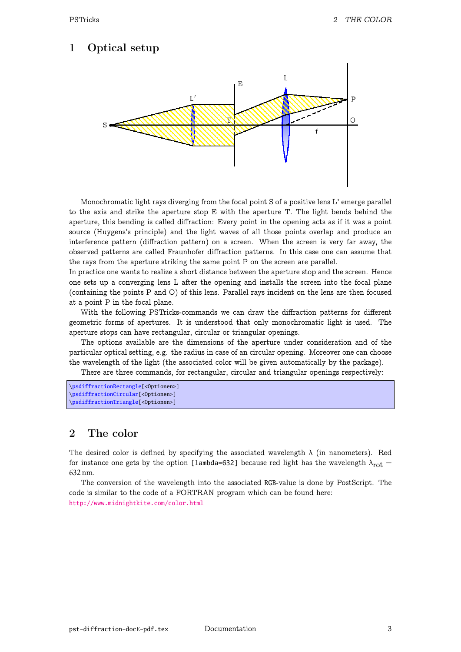### 1 Optical setup



Monochromatic light rays diverging from the focal point S of a positive lens L' emerge parallel to the axis and strike the aperture stop E with the aperture T. The light bends behind the aperture, this bending is called diffraction: Every point in the opening acts as if it was a point source (Huygens's principle) and the light waves of all those points overlap and produce an interference pattern (diffraction pattern) on a screen. When the screen is very far away, the observed patterns are called Fraunhofer diffraction patterns. In this case one can assume that the rays from the aperture striking the same point P on the screen are parallel.

In practice one wants to realize a short distance between the aperture stop and the screen. Hence one sets up a converging lens L after the opening and installs the screen into the focal plane (containing the points P and O) of this lens. Parallel rays incident on the lens are then focused at a point P in the focal plane.

With the following PSTricks-commands we can draw the diffraction patterns for different geometric forms of apertures. It is understood that only monochromatic light is used. The aperture stops can have rectangular, circular or triangular openings.

The options available are the dimensions of the aperture under consideration and of the particular optical setting, e.g. the radius in case of an circular opening. Moreover one can choose the wavelength of the light (the associated color will be given automatically by the package).

There are three commands, for rectangular, circular and triangular openings respectively:

```
\psdiffractionRectangle[<Optionen>]
\psdiffractionCircular[<Optionen>]
\psdiffractionTriangle[<Optionen>]
```
### 2 The color

The desired color is defined by specifying the associated wavelength  $\lambda$  (in nanometers). Red for instance one gets by the option [lambda=632] because red light has the wavelength  $\lambda_{\text{rot}} =$ 632 nm.

The conversion of the wavelength into the associated RGB-value is done by PostScript. The code is similar to the code of a FORTRAN program which can be found here: http://www.midnightkite.com/color.html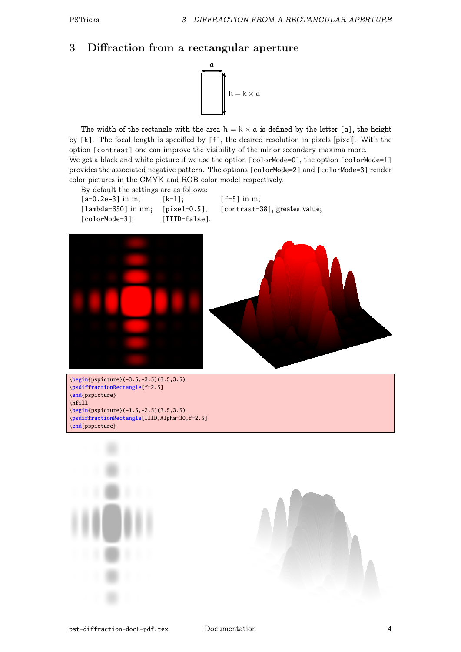### 3 Diffraction from a rectangular aperture



The width of the rectangle with the area  $h = k \times a$  is defined by the letter [a], the height by  $[k]$ . The focal length is specified by  $[f]$ , the desired resolution in pixels [pixel]. With the option [contrast] one can improve the visibility of the minor secondary maxima more. We get a black and white picture if we use the option  $[colorModel]$ , the option  $[colorModel]$ provides the associated negative pattern. The options [colorMode=2] and [colorMode=3] render color pictures in the CMYK and RGB color model respectively.

By default the settings are as follows: [a=0.2e-3] in m; [k=1]; [f=5] in m; [lambda=650] in nm; [pixel=0.5]; [contrast=38], greates value; [colorMode=3]; [IIID=false].







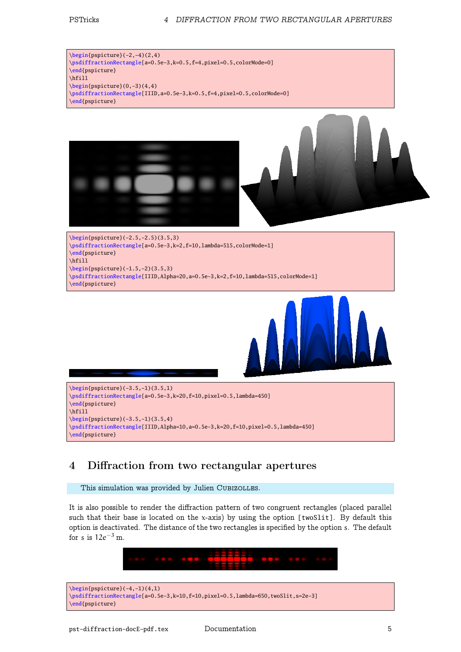#### PSTricks 4 DIFFRACTION FROM TWO RECTANGULAR APERTURES

 $\begin{bmatrix} 2, -4(2, 4) \end{bmatrix}$ \psdiffractionRectangle[a=0.5e-3,k=0.5,f=4,pixel=0.5,colorMode=0] \end{pspicture} \hfill  $\begin{cases} (0,-3)(4,4) \end{cases}$ \psdiffractionRectangle[IIID,a=0.5e-3,k=0.5,f=4,pixel=0.5,colorMode=0] \end{pspicture}



\begin{pspicture}(-2.5,-2.5)(3.5,3) \psdiffractionRectangle[a=0.5e-3,k=2,f=10,lambda=515,colorMode=1] \end{pspicture} \hfill \begin{pspicture}(-1.5,-2)(3.5,3) \psdiffractionRectangle[IIID,Alpha=20,a=0.5e-3,k=2,f=10,lambda=515,colorMode=1] \end{pspicture}



```
\begin{pspicture}(-3.5,-1)(3.5,1)
\psdiffractionRectangle[a=0.5e-3,k=20,f=10,pixel=0.5,lambda=450]
\end{pspicture}
\hfill
\begin{pspicture}(-3.5,-1)(3.5,4)
\psdiffractionRectangle[IIID,Alpha=10,a=0.5e-3,k=20,f=10,pixel=0.5,lambda=450]
\end{pspicture}
```
# 4 Diffraction from two rectangular apertures

This simulation was provided by Julien CUBIZOLLES.

It is also possible to render the diffraction pattern of two congruent rectangles (placed parallel such that their base is located on the x-axis) by using the option [twoSlit]. By default this option is deactivated. The distance of the two rectangles is specified by the option s. The default for s is  $12e^{-3}$  m.



\begin{pspicture}(-4,-1)(4,1) \psdiffractionRectangle[a=0.5e-3,k=10,f=10,pixel=0.5,lambda=650,twoSlit,s=2e-3] \end{pspicture}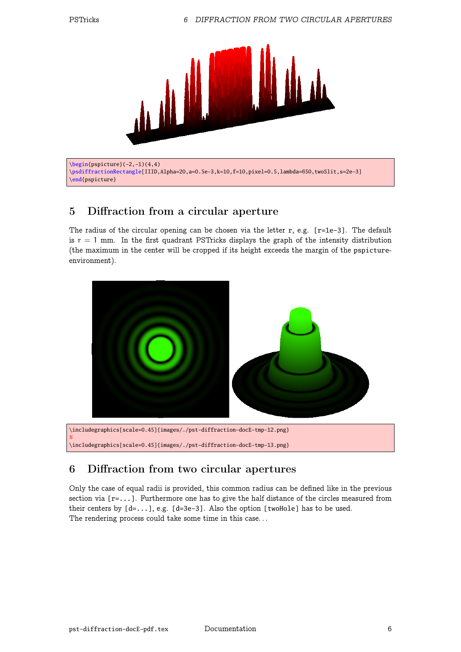$%$ 



\begin{pspicture}(-2,-1)(4,4) \psdiffractionRectangle[IIID,Alpha=20,a=0.5e-3,k=10,f=10,pixel=0.5,lambda=650,twoSlit,s=2e-3] \end{pspicture}

### 5 Diffraction from a circular aperture

The radius of the circular opening can be chosen via the letter r, e.g.  $[r=1e-3]$ . The default is  $r = 1$  mm. In the first quadrant PSTricks displays the graph of the intensity distribution (the maximum in the center will be cropped if its height exceeds the margin of the pspictureenvironment).



# 6 Diffraction from two circular apertures

Only the case of equal radii is provided, this common radius can be defined like in the previous section via  $[r=...]$ . Furthermore one has to give the half distance of the circles measured from their centers by [d=...], e.g. [d=3e-3]. Also the option [twoHole] has to be used. The rendering process could take some time in this case. . .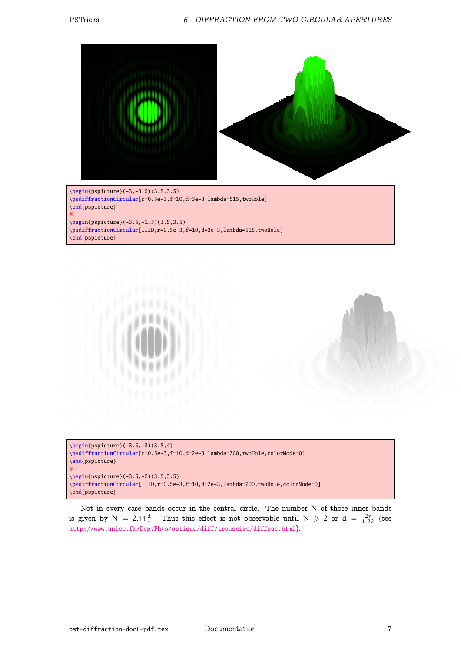



```
\psdiffractionCircular[r=0.5e-3,f=10,d=2e-3,lambda=700,twoHole,colorMode=0]
\end{pspicture}
%\begin{pspicture}(-3.5,-2)(3.5,3.5)
\psdiffractionCircular[IIID,r=0.5e-3,f=10,d=2e-3,lambda=700,twoHole,colorMode=0]
\end{pspicture}
```
Not in every case bands occur in the central circle. The number N of those inner bands is given by  $N = 2.44 \frac{d}{r}$ . Thus this effect is not observable until  $N \ge 2$  or  $d = \frac{2r}{1.22}$  (see http://www.unice.fr/DeptPhys/optique/diff/trouscirc/diffrac.html).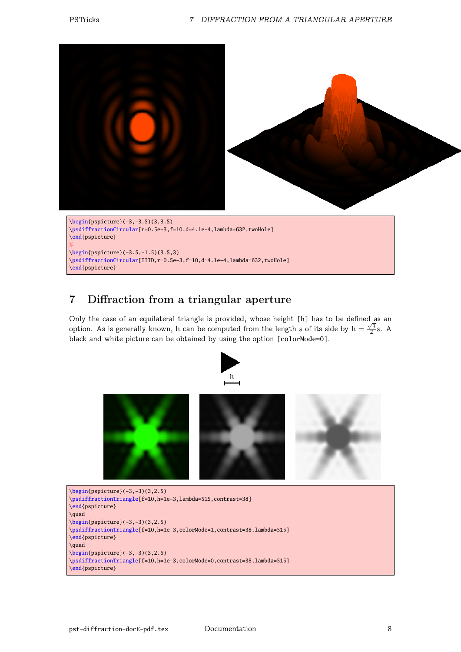

\begin{pspicture}(-3.5,-1.5)(3.5,3) \psdiffractionCircular[IIID, r=0.5e-3, f=10, d=4.1e-4, lambda=632, twoHole] \end{pspicture}

# 7 Diffraction from a triangular aperture

Only the case of an equilateral triangle is provided, whose height [h] has to be defined as an option. As is generally known, h can be computed from the length s of its side by  $h = \frac{\sqrt{3}}{2}s$ . A black and white picture can be obtained by using the option [colorMode=0].



```
\psdiffractionTriangle[f=10,h=1e-3,lambda=515,contrast=38]
\end{pspicture}
\quad
\begin{bmatrix} (-3, -3)(3, 2.5) \end{bmatrix}\psdiffractionTriangle[f=10,h=1e-3,colorMode=1,contrast=38,lambda=515]
\end{pspicture}
\quad
\begin{pspicture}(-3,-3)(3,2.5)
\psdiffractionTriangle[f=10,h=1e-3,colorMode=0,contrast=38,lambda=515]
\end{pspicture}
```